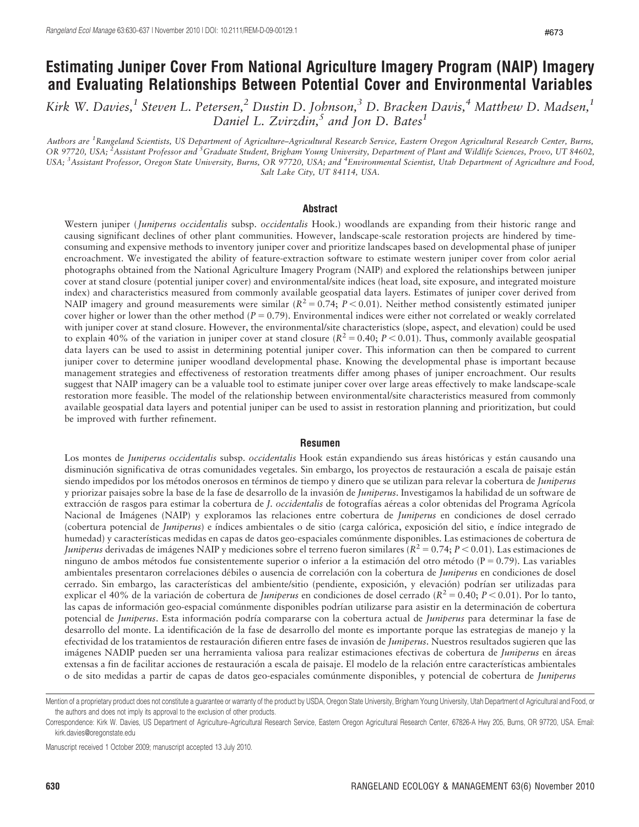# Estimating Juniper Cover From National Agriculture Imagery Program (NAIP) Imagery and Evaluating Relationships Between Potential Cover and Environmental Variables

Kirk W. Davies,<sup>1</sup> Steven L. Petersen,<sup>2</sup> Dustin D. Johnson,<sup>3</sup> D. Bracken Davis,<sup>4</sup> Matthew D. Madsen,<sup>1</sup> Daniel L. Zvirzdin,<sup>5</sup> and Jon D. Bates<sup>1</sup>

Authors are <sup>1</sup>Rangeland Scientists, US Department of Agriculture–Agricultural Research Service, Eastern Oregon Agricultural Research Center, Burns, OR 97720, USA; <sup>2</sup>Assistant Professor and <sup>5</sup>Graduate Student, Brigham Young University, Department of Plant and Wildlife Sciences, Provo, UT 84602, USA; <sup>3</sup> Assistant Professor, Oregon State University, Burns, OR 97720, USA; and <sup>4</sup>Environmental Scientist, Utah Department of Agriculture and Food, Salt Lake City, UT 84114, USA.

#### Abstract

Western juniper (Juniperus occidentalis subsp. occidentalis Hook.) woodlands are expanding from their historic range and causing significant declines of other plant communities. However, landscape-scale restoration projects are hindered by timeconsuming and expensive methods to inventory juniper cover and prioritize landscapes based on developmental phase of juniper encroachment. We investigated the ability of feature-extraction software to estimate western juniper cover from color aerial photographs obtained from the National Agriculture Imagery Program (NAIP) and explored the relationships between juniper cover at stand closure (potential juniper cover) and environmental/site indices (heat load, site exposure, and integrated moisture index) and characteristics measured from commonly available geospatial data layers. Estimates of juniper cover derived from NAIP imagery and ground measurements were similar ( $R^2 = 0.74$ ;  $P < 0.01$ ). Neither method consistently estimated juniper cover higher or lower than the other method ( $P = 0.79$ ). Environmental indices were either not correlated or weakly correlated with juniper cover at stand closure. However, the environmental/site characteristics (slope, aspect, and elevation) could be used to explain 40% of the variation in juniper cover at stand closure  $(R^2 = 0.40; P < 0.01)$ . Thus, commonly available geospatial data layers can be used to assist in determining potential juniper cover. This information can then be compared to current juniper cover to determine juniper woodland developmental phase. Knowing the developmental phase is important because management strategies and effectiveness of restoration treatments differ among phases of juniper encroachment. Our results suggest that NAIP imagery can be a valuable tool to estimate juniper cover over large areas effectively to make landscape-scale restoration more feasible. The model of the relationship between environmental/site characteristics measured from commonly available geospatial data layers and potential juniper can be used to assist in restoration planning and prioritization, but could be improved with further refinement.

#### Resumen

Los montes de Juniperus occidentalis subsp. occidentalis Hook están expandiendo sus áreas históricas y están causando una disminución significativa de otras comunidades vegetales. Sin embargo, los proyectos de restauración a escala de paisaje están siendo impedidos por los métodos onerosos en términos de tiempo y dinero que se utilizan para relevar la cobertura de *Juniperus* y priorizar paisajes sobre la base de la fase de desarrollo de la invasión de *Juniperus*. Investigamos la habilidad de un software de extracción de rasgos para estimar la cobertura de J. occidentalis de fotografías aéreas a color obtenidas del Programa Agrícola Nacional de Imágenes (NAIP) y exploramos las relaciones entre cobertura de *Juniperus* en condiciones de dosel cerrado (cobertura potencial de Juniperus) e índices ambientales o de sitio (carga calórica, exposición del sitio, e índice integrado de humedad) y características medidas en capas de datos geo-espaciales comúnmente disponibles. Las estimaciones de cobertura de *Juniperus* derivadas de imágenes NAIP y mediciones sobre el terreno fueron similares ( $R^2 = 0.74$ ;  $P < 0.01$ ). Las estimaciones de ninguno de ambos métodos fue consistentemente superior o inferior a la estimación del otro método ( $P = 0.79$ ). Las variables ambientales presentaron correlaciones débiles o ausencia de correlación con la cobertura de Juniperus en condiciones de dosel cerrado. Sin embargo, las características del ambiente/sitio (pendiente, exposición, y elevación) podrían ser utilizadas para explicar el 40% de la variación de cobertura de *Juniperus* en condiciones de dosel cerrado ( $R^2 = 0.40$ ;  $P < 0.01$ ). Por lo tanto, las capas de información geo-espacial comúnmente disponibles podrían utilizarse para asistir en la determinación de cobertura potencial de Juniperus. Esta información podría compararse con la cobertura actual de Juniperus para determinar la fase de desarrollo del monte. La identificación de la fase de desarrollo del monte es importante porque las estrategias de manejo y la efectividad de los tratamientos de restauración difieren entre fases de invasión de Juniperus. Nuestros resultados sugieren que las imágenes NADIP pueden ser una herramienta valiosa para realizar estimaciones efectivas de cobertura de Juniperus en áreas extensas a fin de facilitar acciones de restauración a escala de paisaje. El modelo de la relación entre características ambientales o de sito medidas a partir de capas de datos geo-espaciales comúnmente disponibles, y potencial de cobertura de Juniperus

Manuscript received 1 October 2009; manuscript accepted 13 July 2010.

Mention of a proprietary product does not constitute a guarantee or warranty of the product by USDA, Oregon State University, Brigham Young University, Utah Department of Agricultural and Food, or the authors and does not imply its approval to the exclusion of other products.

Correspondence: Kirk W. Davies, US Department of Agriculture–Agricultural Research Service, Eastern Oregon Agricultural Research Center, 67826-A Hwy 205, Burns, OR 97720, USA. Email: kirk.davies@oregonstate.edu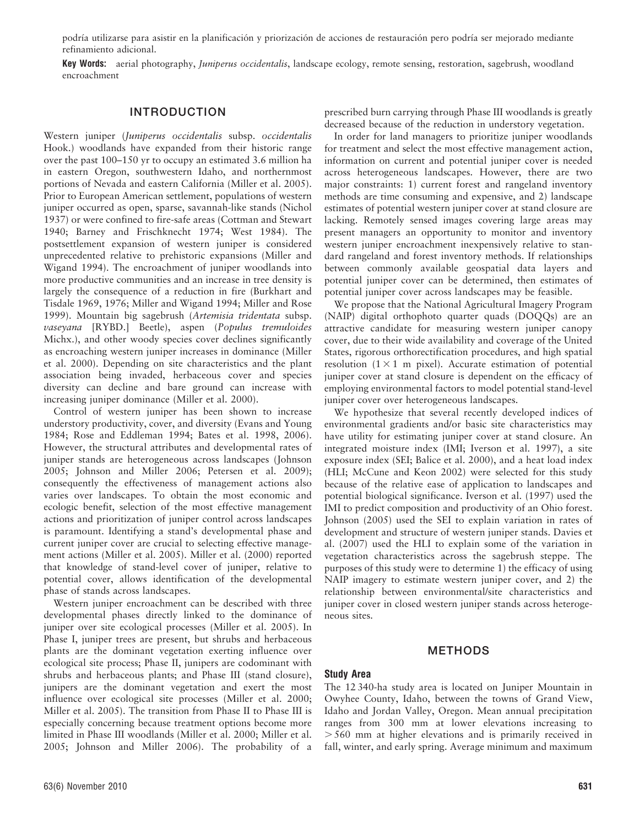podría utilizarse para asistir en la planificación y priorización de acciones de restauración pero podría ser mejorado mediante refinamiento adicional.

Key Words: aerial photography, Juniperus occidentalis, landscape ecology, remote sensing, restoration, sagebrush, woodland encroachment

#### INTRODUCTION

Western juniper (Juniperus occidentalis subsp. occidentalis Hook.) woodlands have expanded from their historic range over the past 100–150 yr to occupy an estimated 3.6 million ha in eastern Oregon, southwestern Idaho, and northernmost portions of Nevada and eastern California (Miller et al. 2005). Prior to European American settlement, populations of western juniper occurred as open, sparse, savannah-like stands (Nichol 1937) or were confined to fire-safe areas (Cottman and Stewart 1940; Barney and Frischknecht 1974; West 1984). The postsettlement expansion of western juniper is considered unprecedented relative to prehistoric expansions (Miller and Wigand 1994). The encroachment of juniper woodlands into more productive communities and an increase in tree density is largely the consequence of a reduction in fire (Burkhart and Tisdale 1969, 1976; Miller and Wigand 1994; Miller and Rose 1999). Mountain big sagebrush (Artemisia tridentata subsp. vaseyana [RYBD.] Beetle), aspen (Populus tremuloides Michx.), and other woody species cover declines significantly as encroaching western juniper increases in dominance (Miller et al. 2000). Depending on site characteristics and the plant association being invaded, herbaceous cover and species diversity can decline and bare ground can increase with increasing juniper dominance (Miller et al. 2000).

Control of western juniper has been shown to increase understory productivity, cover, and diversity (Evans and Young 1984; Rose and Eddleman 1994; Bates et al. 1998, 2006). However, the structural attributes and developmental rates of juniper stands are heterogeneous across landscapes (Johnson 2005; Johnson and Miller 2006; Petersen et al. 2009); consequently the effectiveness of management actions also varies over landscapes. To obtain the most economic and ecologic benefit, selection of the most effective management actions and prioritization of juniper control across landscapes is paramount. Identifying a stand's developmental phase and current juniper cover are crucial to selecting effective management actions (Miller et al. 2005). Miller et al. (2000) reported that knowledge of stand-level cover of juniper, relative to potential cover, allows identification of the developmental phase of stands across landscapes.

Western juniper encroachment can be described with three developmental phases directly linked to the dominance of juniper over site ecological processes (Miller et al. 2005). In Phase I, juniper trees are present, but shrubs and herbaceous plants are the dominant vegetation exerting influence over ecological site process; Phase II, junipers are codominant with shrubs and herbaceous plants; and Phase III (stand closure), junipers are the dominant vegetation and exert the most influence over ecological site processes (Miller et al. 2000; Miller et al. 2005). The transition from Phase II to Phase III is especially concerning because treatment options become more limited in Phase III woodlands (Miller et al. 2000; Miller et al. 2005; Johnson and Miller 2006). The probability of a

prescribed burn carrying through Phase III woodlands is greatly decreased because of the reduction in understory vegetation.

In order for land managers to prioritize juniper woodlands for treatment and select the most effective management action, information on current and potential juniper cover is needed across heterogeneous landscapes. However, there are two major constraints: 1) current forest and rangeland inventory methods are time consuming and expensive, and 2) landscape estimates of potential western juniper cover at stand closure are lacking. Remotely sensed images covering large areas may present managers an opportunity to monitor and inventory western juniper encroachment inexpensively relative to standard rangeland and forest inventory methods. If relationships between commonly available geospatial data layers and potential juniper cover can be determined, then estimates of potential juniper cover across landscapes may be feasible.

We propose that the National Agricultural Imagery Program (NAIP) digital orthophoto quarter quads (DOQQs) are an attractive candidate for measuring western juniper canopy cover, due to their wide availability and coverage of the United States, rigorous orthorectification procedures, and high spatial resolution  $(1 \times 1$  m pixel). Accurate estimation of potential juniper cover at stand closure is dependent on the efficacy of employing environmental factors to model potential stand-level juniper cover over heterogeneous landscapes.

We hypothesize that several recently developed indices of environmental gradients and/or basic site characteristics may have utility for estimating juniper cover at stand closure. An integrated moisture index (IMI; Iverson et al. 1997), a site exposure index (SEI; Balice et al. 2000), and a heat load index (HLI; McCune and Keon 2002) were selected for this study because of the relative ease of application to landscapes and potential biological significance. Iverson et al. (1997) used the IMI to predict composition and productivity of an Ohio forest. Johnson (2005) used the SEI to explain variation in rates of development and structure of western juniper stands. Davies et al. (2007) used the HLI to explain some of the variation in vegetation characteristics across the sagebrush steppe. The purposes of this study were to determine 1) the efficacy of using NAIP imagery to estimate western juniper cover, and 2) the relationship between environmental/site characteristics and juniper cover in closed western juniper stands across heterogeneous sites.

#### METHODS

#### Study Area

The 12 340-ha study area is located on Juniper Mountain in Owyhee County, Idaho, between the towns of Grand View, Idaho and Jordan Valley, Oregon. Mean annual precipitation ranges from 300 mm at lower elevations increasing to  $> 560$  mm at higher elevations and is primarily received in fall, winter, and early spring. Average minimum and maximum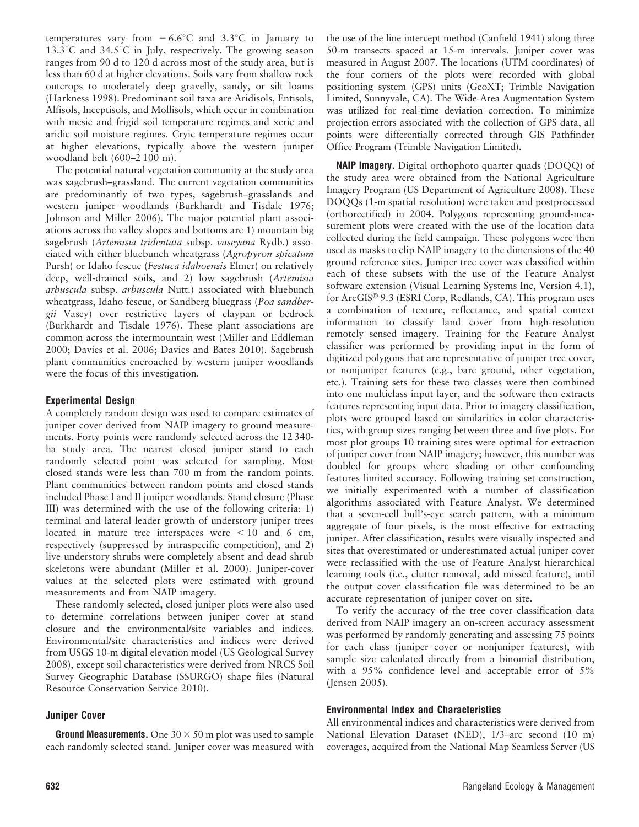temperatures vary from  $-6.6^{\circ}$ C and 3.3<sup>o</sup>C in January to 13.3 $\degree$ C and 34.5 $\degree$ C in July, respectively. The growing season ranges from 90 d to 120 d across most of the study area, but is less than 60 d at higher elevations. Soils vary from shallow rock outcrops to moderately deep gravelly, sandy, or silt loams (Harkness 1998). Predominant soil taxa are Aridisols, Entisols, Alfisols, Inceptisols, and Mollisols, which occur in combination with mesic and frigid soil temperature regimes and xeric and aridic soil moisture regimes. Cryic temperature regimes occur at higher elevations, typically above the western juniper woodland belt (600–2 100 m).

The potential natural vegetation community at the study area was sagebrush–grassland. The current vegetation communities are predominantly of two types, sagebrush–grasslands and western juniper woodlands (Burkhardt and Tisdale 1976; Johnson and Miller 2006). The major potential plant associations across the valley slopes and bottoms are 1) mountain big sagebrush (Artemisia tridentata subsp. vaseyana Rydb.) associated with either bluebunch wheatgrass (Agropyron spicatum Pursh) or Idaho fescue (Festuca idahoensis Elmer) on relatively deep, well-drained soils, and 2) low sagebrush (Artemisia arbuscula subsp. arbuscula Nutt.) associated with bluebunch wheatgrass, Idaho fescue, or Sandberg bluegrass (Poa sandbergii Vasey) over restrictive layers of claypan or bedrock (Burkhardt and Tisdale 1976). These plant associations are common across the intermountain west (Miller and Eddleman 2000; Davies et al. 2006; Davies and Bates 2010). Sagebrush plant communities encroached by western juniper woodlands were the focus of this investigation.

## Experimental Design

A completely random design was used to compare estimates of juniper cover derived from NAIP imagery to ground measurements. Forty points were randomly selected across the 12 340 ha study area. The nearest closed juniper stand to each randomly selected point was selected for sampling. Most closed stands were less than 700 m from the random points. Plant communities between random points and closed stands included Phase I and II juniper woodlands. Stand closure (Phase III) was determined with the use of the following criteria: 1) terminal and lateral leader growth of understory juniper trees located in mature tree interspaces were  $<$  10 and 6 cm, respectively (suppressed by intraspecific competition), and 2) live understory shrubs were completely absent and dead shrub skeletons were abundant (Miller et al. 2000). Juniper-cover values at the selected plots were estimated with ground measurements and from NAIP imagery.

These randomly selected, closed juniper plots were also used to determine correlations between juniper cover at stand closure and the environmental/site variables and indices. Environmental/site characteristics and indices were derived from USGS 10-m digital elevation model (US Geological Survey 2008), except soil characteristics were derived from NRCS Soil Survey Geographic Database (SSURGO) shape files (Natural Resource Conservation Service 2010).

## Juniper Cover

**Ground Measurements.** One  $30 \times 50$  m plot was used to sample each randomly selected stand. Juniper cover was measured with the use of the line intercept method (Canfield 1941) along three 50-m transects spaced at 15-m intervals. Juniper cover was measured in August 2007. The locations (UTM coordinates) of the four corners of the plots were recorded with global positioning system (GPS) units (GeoXT; Trimble Navigation Limited, Sunnyvale, CA). The Wide-Area Augmentation System was utilized for real-time deviation correction. To minimize projection errors associated with the collection of GPS data, all points were differentially corrected through GIS Pathfinder Office Program (Trimble Navigation Limited).

NAIP Imagery. Digital orthophoto quarter quads (DOQQ) of the study area were obtained from the National Agriculture Imagery Program (US Department of Agriculture 2008). These DOQQs (1-m spatial resolution) were taken and postprocessed (orthorectified) in 2004. Polygons representing ground-measurement plots were created with the use of the location data collected during the field campaign. These polygons were then used as masks to clip NAIP imagery to the dimensions of the 40 ground reference sites. Juniper tree cover was classified within each of these subsets with the use of the Feature Analyst software extension (Visual Learning Systems Inc, Version 4.1), for ArcGIS<sup>®</sup> 9.3 (ESRI Corp, Redlands, CA). This program uses a combination of texture, reflectance, and spatial context information to classify land cover from high-resolution remotely sensed imagery. Training for the Feature Analyst classifier was performed by providing input in the form of digitized polygons that are representative of juniper tree cover, or nonjuniper features (e.g., bare ground, other vegetation, etc.). Training sets for these two classes were then combined into one multiclass input layer, and the software then extracts features representing input data. Prior to imagery classification, plots were grouped based on similarities in color characteristics, with group sizes ranging between three and five plots. For most plot groups 10 training sites were optimal for extraction of juniper cover from NAIP imagery; however, this number was doubled for groups where shading or other confounding features limited accuracy. Following training set construction, we initially experimented with a number of classification algorithms associated with Feature Analyst. We determined that a seven-cell bull's-eye search pattern, with a minimum aggregate of four pixels, is the most effective for extracting juniper. After classification, results were visually inspected and sites that overestimated or underestimated actual juniper cover were reclassified with the use of Feature Analyst hierarchical learning tools (i.e., clutter removal, add missed feature), until the output cover classification file was determined to be an accurate representation of juniper cover on site.

To verify the accuracy of the tree cover classification data derived from NAIP imagery an on-screen accuracy assessment was performed by randomly generating and assessing 75 points for each class (juniper cover or nonjuniper features), with sample size calculated directly from a binomial distribution, with a 95% confidence level and acceptable error of 5% (Jensen 2005).

## Environmental Index and Characteristics

All environmental indices and characteristics were derived from National Elevation Dataset (NED), 1/3–arc second (10 m) coverages, acquired from the National Map Seamless Server (US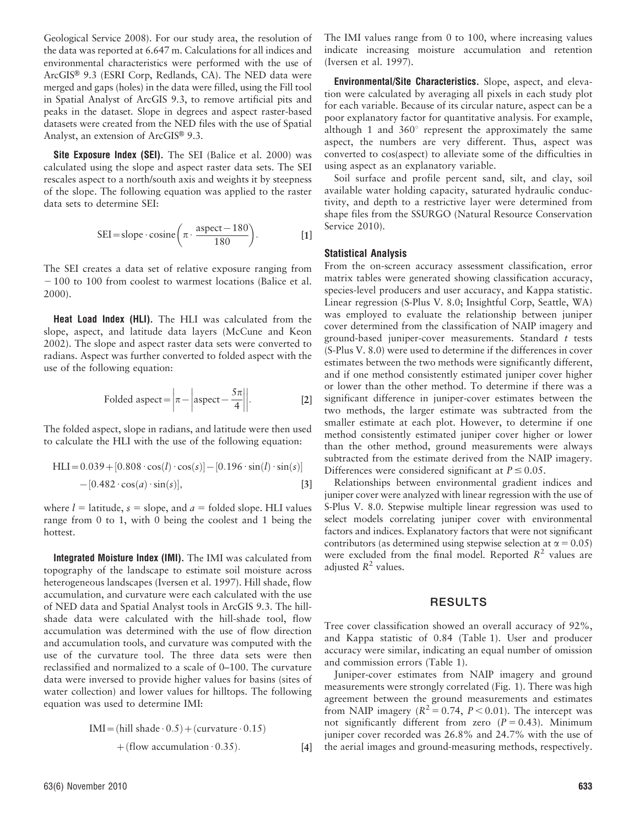Geological Service 2008). For our study area, the resolution of the data was reported at 6.647 m. Calculations for all indices and environmental characteristics were performed with the use of ArcGIS® 9.3 (ESRI Corp, Redlands, CA). The NED data were merged and gaps (holes) in the data were filled, using the Fill tool in Spatial Analyst of ArcGIS 9.3, to remove artificial pits and peaks in the dataset. Slope in degrees and aspect raster-based datasets were created from the NED files with the use of Spatial Analyst, an extension of ArcGIS<sup>®</sup> 9.3.

Site Exposure Index (SEI). The SEI (Balice et al. 2000) was calculated using the slope and aspect raster data sets. The SEI rescales aspect to a north/south axis and weights it by steepness of the slope. The following equation was applied to the raster data sets to determine SEI:

$$
SEI = slope \cdot cosine\left(\pi \cdot \frac{aspect - 180}{180}\right). \tag{1}
$$

The SEI creates a data set of relative exposure ranging from  $-100$  to 100 from coolest to warmest locations (Balice et al. 2000).

Heat Load Index (HLI). The HLI was calculated from the slope, aspect, and latitude data layers (McCune and Keon 2002). The slope and aspect raster data sets were converted to radians. Aspect was further converted to folded aspect with the use of the following equation:

Folded aspect = 
$$
\left| \pi - \left| \text{aspect} - \frac{5\pi}{4} \right| \right|
$$
. [2]

The folded aspect, slope in radians, and latitude were then used to calculate the HLI with the use of the following equation:

HLI~0:039z 0:808 : cosð Þl : ½ cosð Þs { 0:196 :sinð Þl : ½ sinð Þs { 0:482 : cosð Þa : ½ sinð Þs , [3]

where  $l =$  latitude,  $s =$  slope, and  $a =$  folded slope. HLI values range from 0 to 1, with 0 being the coolest and 1 being the hottest.

Integrated Moisture Index (IMI). The IMI was calculated from topography of the landscape to estimate soil moisture across heterogeneous landscapes (Iversen et al. 1997). Hill shade, flow accumulation, and curvature were each calculated with the use of NED data and Spatial Analyst tools in ArcGIS 9.3. The hillshade data were calculated with the hill-shade tool, flow accumulation was determined with the use of flow direction and accumulation tools, and curvature was computed with the use of the curvature tool. The three data sets were then reclassified and normalized to a scale of 0–100. The curvature data were inversed to provide higher values for basins (sites of water collection) and lower values for hilltops. The following equation was used to determine IMI:

$$
IMI = (hill shade \cdot 0.5) + (curvature \cdot 0.15)
$$
  
+ (flow accumulation \cdot 0.35). [4]

63(6) November 2010 633

The IMI values range from 0 to 100, where increasing values indicate increasing moisture accumulation and retention (Iversen et al. 1997).

Environmental/Site Characteristics. Slope, aspect, and elevation were calculated by averaging all pixels in each study plot for each variable. Because of its circular nature, aspect can be a poor explanatory factor for quantitative analysis. For example, although 1 and  $360^{\circ}$  represent the approximately the same aspect, the numbers are very different. Thus, aspect was converted to cos(aspect) to alleviate some of the difficulties in using aspect as an explanatory variable.

Soil surface and profile percent sand, silt, and clay, soil available water holding capacity, saturated hydraulic conductivity, and depth to a restrictive layer were determined from shape files from the SSURGO (Natural Resource Conservation Service 2010).

#### Statistical Analysis

From the on-screen accuracy assessment classification, error matrix tables were generated showing classification accuracy, species-level producers and user accuracy, and Kappa statistic. Linear regression (S-Plus V. 8.0; Insightful Corp, Seattle, WA) was employed to evaluate the relationship between juniper cover determined from the classification of NAIP imagery and ground-based juniper-cover measurements. Standard  $t$  tests (S-Plus V. 8.0) were used to determine if the differences in cover estimates between the two methods were significantly different, and if one method consistently estimated juniper cover higher or lower than the other method. To determine if there was a significant difference in juniper-cover estimates between the two methods, the larger estimate was subtracted from the smaller estimate at each plot. However, to determine if one method consistently estimated juniper cover higher or lower than the other method, ground measurements were always subtracted from the estimate derived from the NAIP imagery. Differences were considered significant at  $P \le 0.05$ .

Relationships between environmental gradient indices and juniper cover were analyzed with linear regression with the use of S-Plus V. 8.0. Stepwise multiple linear regression was used to select models correlating juniper cover with environmental factors and indices. Explanatory factors that were not significant contributors (as determined using stepwise selection at  $\alpha = 0.05$ ) were excluded from the final model. Reported  $R^2$  values are adjusted  $R^2$  values.

## RESULTS

Tree cover classification showed an overall accuracy of 92%, and Kappa statistic of 0.84 (Table 1). User and producer accuracy were similar, indicating an equal number of omission and commission errors (Table 1).

Juniper-cover estimates from NAIP imagery and ground measurements were strongly correlated (Fig. 1). There was high agreement between the ground measurements and estimates from NAIP imagery  $(R^2 = 0.74, P < 0.01)$ . The intercept was not significantly different from zero  $(P = 0.43)$ . Minimum juniper cover recorded was 26.8% and 24.7% with the use of the aerial images and ground-measuring methods, respectively.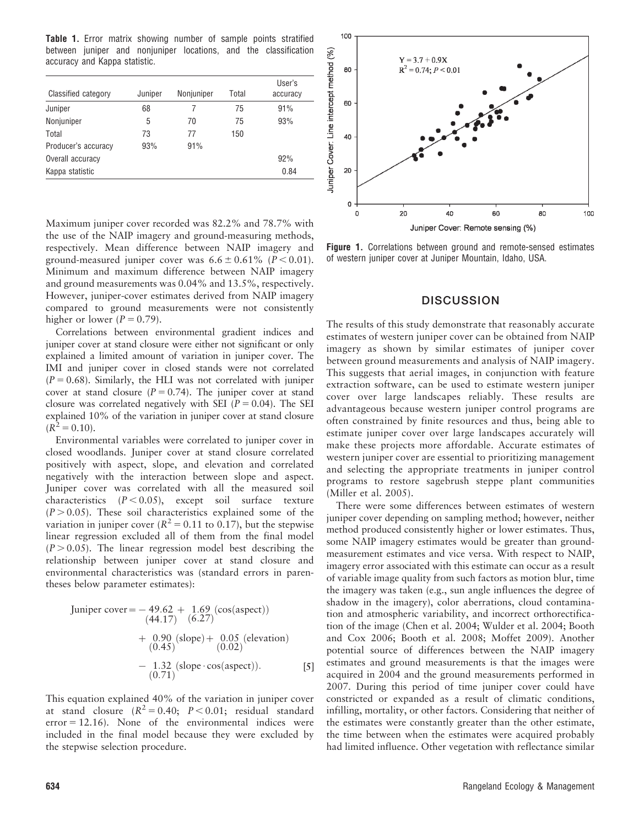Table 1. Error matrix showing number of sample points stratified between juniper and nonjuniper locations, and the classification accuracy and Kappa statistic.

| Classified category | Juniper | Nonjuniper | Total | User's<br>accuracy |
|---------------------|---------|------------|-------|--------------------|
| Juniper             | 68      |            | 75    | 91%                |
| Nonjuniper          | 5       | 70         | 75    | 93%                |
| Total               | 73      | 77         | 150   |                    |
| Producer's accuracy | 93%     | 91%        |       |                    |
| Overall accuracy    |         |            |       | 92%                |
| Kappa statistic     |         |            |       | 0.84               |

Maximum juniper cover recorded was 82.2% and 78.7% with the use of the NAIP imagery and ground-measuring methods, respectively. Mean difference between NAIP imagery and ground-measured juniper cover was  $6.6 \pm 0.61\%$  ( $P < 0.01$ ). Minimum and maximum difference between NAIP imagery and ground measurements was 0.04% and 13.5%, respectively. However, juniper-cover estimates derived from NAIP imagery compared to ground measurements were not consistently higher or lower  $(P = 0.79)$ .

Correlations between environmental gradient indices and juniper cover at stand closure were either not significant or only explained a limited amount of variation in juniper cover. The IMI and juniper cover in closed stands were not correlated  $(P = 0.68)$ . Similarly, the HLI was not correlated with juniper cover at stand closure ( $P = 0.74$ ). The juniper cover at stand closure was correlated negatively with SEI ( $P = 0.04$ ). The SEI explained 10% of the variation in juniper cover at stand closure  $(R^2 = 0.10)$ .

Environmental variables were correlated to juniper cover in closed woodlands. Juniper cover at stand closure correlated positively with aspect, slope, and elevation and correlated negatively with the interaction between slope and aspect. Juniper cover was correlated with all the measured soil characteristics  $(P < 0.05)$ , except soil surface texture  $(P > 0.05)$ . These soil characteristics explained some of the variation in juniper cover ( $R^2 = 0.11$  to 0.17), but the stepwise linear regression excluded all of them from the final model  $(P > 0.05)$ . The linear regression model best describing the relationship between juniper cover at stand closure and environmental characteristics was (standard errors in parentheses below parameter estimates):

Juniper cover = 
$$
-49.62 + 1.69 \text{ (cos(aspect))}
$$

\n
$$
+ 0.90 \text{ (slope)} + 0.05 \text{ (elevation)}
$$
\n
$$
+ 0.90 \text{ (slope)} + 0.05 \text{ (elevation)}
$$
\n
$$
- 1.32 \text{ (slope } \cos(\text{aspect}))
$$
\n[5]

This equation explained 40% of the variation in juniper cover at stand closure  $(R^2 = 0.40; P < 0.01;$  residual standard  $error = 12.16$ . None of the environmental indices were included in the final model because they were excluded by the stepwise selection procedure.



Figure 1. Correlations between ground and remote-sensed estimates of western juniper cover at Juniper Mountain, Idaho, USA.

#### **DISCUSSION**

The results of this study demonstrate that reasonably accurate estimates of western juniper cover can be obtained from NAIP imagery as shown by similar estimates of juniper cover between ground measurements and analysis of NAIP imagery. This suggests that aerial images, in conjunction with feature extraction software, can be used to estimate western juniper cover over large landscapes reliably. These results are advantageous because western juniper control programs are often constrained by finite resources and thus, being able to estimate juniper cover over large landscapes accurately will make these projects more affordable. Accurate estimates of western juniper cover are essential to prioritizing management and selecting the appropriate treatments in juniper control programs to restore sagebrush steppe plant communities (Miller et al. 2005).

There were some differences between estimates of western juniper cover depending on sampling method; however, neither method produced consistently higher or lower estimates. Thus, some NAIP imagery estimates would be greater than groundmeasurement estimates and vice versa. With respect to NAIP, imagery error associated with this estimate can occur as a result of variable image quality from such factors as motion blur, time the imagery was taken (e.g., sun angle influences the degree of shadow in the imagery), color aberrations, cloud contamination and atmospheric variability, and incorrect orthorectification of the image (Chen et al. 2004; Wulder et al. 2004; Booth and Cox 2006; Booth et al. 2008; Moffet 2009). Another potential source of differences between the NAIP imagery estimates and ground measurements is that the images were acquired in 2004 and the ground measurements performed in 2007. During this period of time juniper cover could have constricted or expanded as a result of climatic conditions, infilling, mortality, or other factors. Considering that neither of the estimates were constantly greater than the other estimate, the time between when the estimates were acquired probably had limited influence. Other vegetation with reflectance similar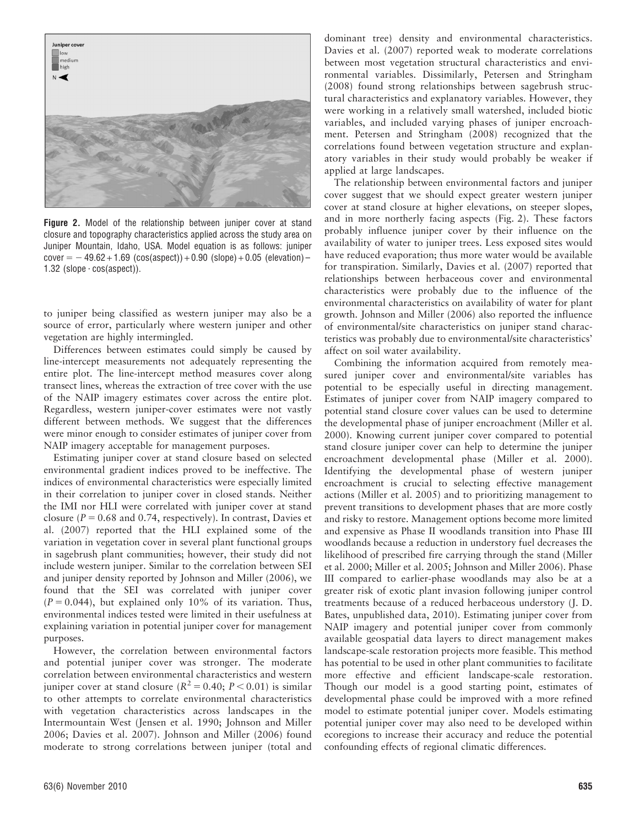

Figure 2. Model of the relationship between juniper cover at stand closure and topography characteristics applied across the study area on Juniper Mountain, Idaho, USA. Model equation is as follows: juniper cover  $= -49.62 + 1.69$  (cos(aspect)) + 0.90 (slope) + 0.05 (elevation) – 1.32 (slope  $\cdot$  cos(aspect)).

to juniper being classified as western juniper may also be a source of error, particularly where western juniper and other vegetation are highly intermingled.

Differences between estimates could simply be caused by line-intercept measurements not adequately representing the entire plot. The line-intercept method measures cover along transect lines, whereas the extraction of tree cover with the use of the NAIP imagery estimates cover across the entire plot. Regardless, western juniper-cover estimates were not vastly different between methods. We suggest that the differences were minor enough to consider estimates of juniper cover from NAIP imagery acceptable for management purposes.

Estimating juniper cover at stand closure based on selected environmental gradient indices proved to be ineffective. The indices of environmental characteristics were especially limited in their correlation to juniper cover in closed stands. Neither the IMI nor HLI were correlated with juniper cover at stand closure ( $P = 0.68$  and 0.74, respectively). In contrast, Davies et al. (2007) reported that the HLI explained some of the variation in vegetation cover in several plant functional groups in sagebrush plant communities; however, their study did not include western juniper. Similar to the correlation between SEI and juniper density reported by Johnson and Miller (2006), we found that the SEI was correlated with juniper cover  $(P = 0.044)$ , but explained only 10% of its variation. Thus, environmental indices tested were limited in their usefulness at explaining variation in potential juniper cover for management purposes.

However, the correlation between environmental factors and potential juniper cover was stronger. The moderate correlation between environmental characteristics and western juniper cover at stand closure ( $R^2 = 0.40$ ;  $P < 0.01$ ) is similar to other attempts to correlate environmental characteristics with vegetation characteristics across landscapes in the Intermountain West (Jensen et al. 1990; Johnson and Miller 2006; Davies et al. 2007). Johnson and Miller (2006) found moderate to strong correlations between juniper (total and

dominant tree) density and environmental characteristics. Davies et al. (2007) reported weak to moderate correlations between most vegetation structural characteristics and environmental variables. Dissimilarly, Petersen and Stringham (2008) found strong relationships between sagebrush structural characteristics and explanatory variables. However, they were working in a relatively small watershed, included biotic variables, and included varying phases of juniper encroachment. Petersen and Stringham (2008) recognized that the correlations found between vegetation structure and explanatory variables in their study would probably be weaker if applied at large landscapes.

The relationship between environmental factors and juniper cover suggest that we should expect greater western juniper cover at stand closure at higher elevations, on steeper slopes, and in more northerly facing aspects (Fig. 2). These factors probably influence juniper cover by their influence on the availability of water to juniper trees. Less exposed sites would have reduced evaporation; thus more water would be available for transpiration. Similarly, Davies et al. (2007) reported that relationships between herbaceous cover and environmental characteristics were probably due to the influence of the environmental characteristics on availability of water for plant growth. Johnson and Miller (2006) also reported the influence of environmental/site characteristics on juniper stand characteristics was probably due to environmental/site characteristics' affect on soil water availability.

Combining the information acquired from remotely measured juniper cover and environmental/site variables has potential to be especially useful in directing management. Estimates of juniper cover from NAIP imagery compared to potential stand closure cover values can be used to determine the developmental phase of juniper encroachment (Miller et al. 2000). Knowing current juniper cover compared to potential stand closure juniper cover can help to determine the juniper encroachment developmental phase (Miller et al. 2000). Identifying the developmental phase of western juniper encroachment is crucial to selecting effective management actions (Miller et al. 2005) and to prioritizing management to prevent transitions to development phases that are more costly and risky to restore. Management options become more limited and expensive as Phase II woodlands transition into Phase III woodlands because a reduction in understory fuel decreases the likelihood of prescribed fire carrying through the stand (Miller et al. 2000; Miller et al. 2005; Johnson and Miller 2006). Phase III compared to earlier-phase woodlands may also be at a greater risk of exotic plant invasion following juniper control treatments because of a reduced herbaceous understory (J. D. Bates, unpublished data, 2010). Estimating juniper cover from NAIP imagery and potential juniper cover from commonly available geospatial data layers to direct management makes landscape-scale restoration projects more feasible. This method has potential to be used in other plant communities to facilitate more effective and efficient landscape-scale restoration. Though our model is a good starting point, estimates of developmental phase could be improved with a more refined model to estimate potential juniper cover. Models estimating potential juniper cover may also need to be developed within ecoregions to increase their accuracy and reduce the potential confounding effects of regional climatic differences.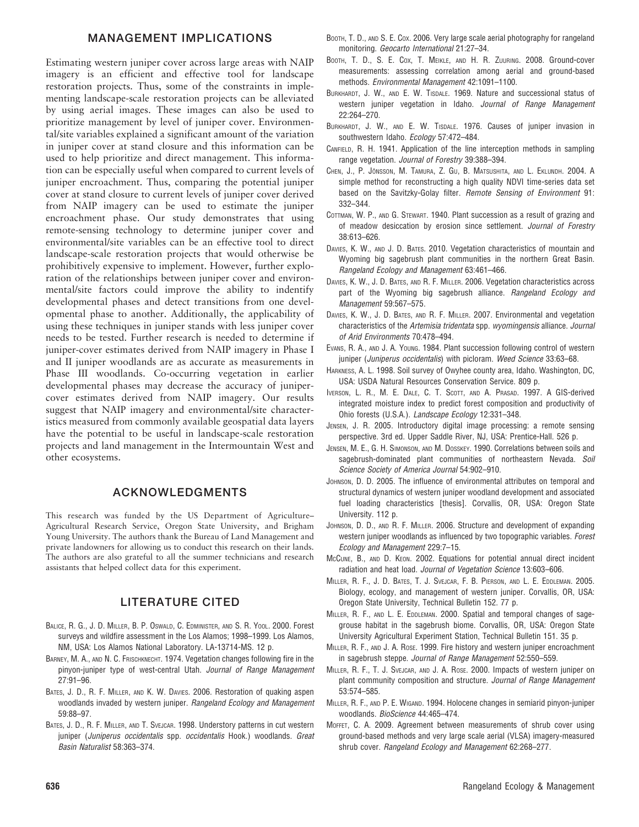#### MANAGEMENT IMPLICATIONS

Estimating western juniper cover across large areas with NAIP imagery is an efficient and effective tool for landscape restoration projects. Thus, some of the constraints in implementing landscape-scale restoration projects can be alleviated by using aerial images. These images can also be used to prioritize management by level of juniper cover. Environmental/site variables explained a significant amount of the variation in juniper cover at stand closure and this information can be used to help prioritize and direct management. This information can be especially useful when compared to current levels of juniper encroachment. Thus, comparing the potential juniper cover at stand closure to current levels of juniper cover derived from NAIP imagery can be used to estimate the juniper encroachment phase. Our study demonstrates that using remote-sensing technology to determine juniper cover and environmental/site variables can be an effective tool to direct landscape-scale restoration projects that would otherwise be prohibitively expensive to implement. However, further exploration of the relationships between juniper cover and environmental/site factors could improve the ability to indentify developmental phases and detect transitions from one developmental phase to another. Additionally, the applicability of using these techniques in juniper stands with less juniper cover needs to be tested. Further research is needed to determine if juniper-cover estimates derived from NAIP imagery in Phase I and II juniper woodlands are as accurate as measurements in Phase III woodlands. Co-occurring vegetation in earlier developmental phases may decrease the accuracy of junipercover estimates derived from NAIP imagery. Our results suggest that NAIP imagery and environmental/site characteristics measured from commonly available geospatial data layers have the potential to be useful in landscape-scale restoration projects and land management in the Intermountain West and other ecosystems.

## ACKNOWLEDGMENTS

This research was funded by the US Department of Agriculture– Agricultural Research Service, Oregon State University, and Brigham Young University. The authors thank the Bureau of Land Management and private landowners for allowing us to conduct this research on their lands. The authors are also grateful to all the summer technicians and research assistants that helped collect data for this experiment.

## LITERATURE CITED

- BALICE, R. G., J. D. MILLER, B. P. OSWALD, C. EDMINISTER, AND S. R. YOOL. 2000. Forest surveys and wildfire assessment in the Los Alamos; 1998–1999. Los Alamos, NM, USA: Los Alamos National Laboratory. LA-13714-MS. 12 p.
- BARNEY, M. A., AND N. C. FRISCHKNECHT. 1974. Vegetation changes following fire in the pinyon-juniper type of west-central Utah. Journal of Range Management 27:91–96.
- BATES, J. D., R. F. MILLER, AND K. W. DAVIES. 2006. Restoration of quaking aspen woodlands invaded by western juniper. Rangeland Ecology and Management 59:88–97.
- BATES, J. D., R. F. MILLER, AND T. SVEJCAR. 1998. Understory patterns in cut western juniper (Juniperus occidentalis spp. occidentalis Hook.) woodlands. Great Basin Naturalist 58:363–374.
- BOOTH, T. D., AND S. E. Cox. 2006. Very large scale aerial photography for rangeland monitoring. Geocarto International 21:27–34.
- BOOTH, T. D., S. E. COX, T. MEIKLE, AND H. R. ZUURING. 2008. Ground-cover measurements: assessing correlation among aerial and ground-based methods. Environmental Management 42:1091–1100.
- BURKHARDT, J. W., AND E. W. TISDALE. 1969. Nature and successional status of western juniper vegetation in Idaho. Journal of Range Management 22:264–270.
- BURKHARDT, J. W., AND E. W. TISDALE. 1976. Causes of juniper invasion in southwestern Idaho. Ecology 57:472–484.
- CANFIELD, R. H. 1941. Application of the line interception methods in sampling range vegetation. Journal of Forestry 39:388–394.
- CHEN, J., P. JÖNSSON, M. TAMURA, Z. GU, B. MATSUSHITA, AND L. EKLUNDH. 2004. A simple method for reconstructing a high quality NDVI time-series data set based on the Savitzky-Golay filter. Remote Sensing of Environment 91: 332–344.
- COTTMAN, W. P., AND G. STEWART. 1940. Plant succession as a result of grazing and of meadow desiccation by erosion since settlement. Journal of Forestry 38:613–626.
- DAVIES, K. W., AND J. D. BATES. 2010. Vegetation characteristics of mountain and Wyoming big sagebrush plant communities in the northern Great Basin. Rangeland Ecology and Management 63:461–466.
- DAVIES, K. W., J. D. BATES, AND R. F. MILLER. 2006. Vegetation characteristics across part of the Wyoming big sagebrush alliance. Rangeland Ecology and Management 59:567–575.
- DAVIES, K. W., J. D. BATES, AND R. F. MILLER. 2007. Environmental and vegetation characteristics of the Artemisia tridentata spp. wyomingensis alliance. Journal of Arid Environments 70:478–494.
- EVANS, R. A., AND J. A. YOUNG. 1984. Plant succession following control of western juniper (Juniperus occidentalis) with picloram. Weed Science 33:63-68.
- HARKNESS, A. L. 1998. Soil survey of Owyhee county area, Idaho. Washington, DC, USA: USDA Natural Resources Conservation Service. 809 p.
- IVERSON, L. R., M. E. DALE, C. T. SCOTT, AND A. PRASAD. 1997. A GIS-derived integrated moisture index to predict forest composition and productivity of Ohio forests (U.S.A.). Landscape Ecology 12:331–348.
- JENSEN, J. R. 2005. Introductory digital image processing: a remote sensing perspective. 3rd ed. Upper Saddle River, NJ, USA: Prentice-Hall. 526 p.
- JENSEN, M. E., G. H. SIMONSON, AND M. DOSSKEY. 1990. Correlations between soils and sagebrush-dominated plant communities of northeastern Nevada. Soil Science Society of America Journal 54:902–910.
- JOHNSON, D. D. 2005. The influence of environmental attributes on temporal and structural dynamics of western juniper woodland development and associated fuel loading characteristics [thesis]. Corvallis, OR, USA: Oregon State University. 112 p.
- JOHNSON, D. D., AND R. F. MILLER. 2006. Structure and development of expanding western juniper woodlands as influenced by two topographic variables. Forest Ecology and Management 229:7–15.
- MCCUNE, B., AND D. KEON. 2002. Equations for potential annual direct incident radiation and heat load. Journal of Vegetation Science 13:603–606.
- MILLER, R. F., J. D. BATES, T. J. SVEJCAR, F. B. PIERSON, AND L. E. EDDLEMAN. 2005. Biology, ecology, and management of western juniper. Corvallis, OR, USA: Oregon State University, Technical Bulletin 152. 77 p.
- MILLER, R. F., AND L. E. EDDLEMAN. 2000. Spatial and temporal changes of sagegrouse habitat in the sagebrush biome. Corvallis, OR, USA: Oregon State University Agricultural Experiment Station, Technical Bulletin 151. 35 p.
- MILLER, R. F., AND J. A. ROSE. 1999. Fire history and western juniper encroachment in sagebrush steppe. Journal of Range Management 52:550–559.
- MILLER, R. F., T. J. SVEJCAR, AND J. A. ROSE. 2000. Impacts of western juniper on plant community composition and structure. Journal of Range Management 53:574–585.
- MILLER, R. F., AND P. E. WIGAND. 1994. Holocene changes in semiarid pinyon-juniper woodlands. BioScience 44:465–474.
- MOFFET, C. A. 2009. Agreement between measurements of shrub cover using ground-based methods and very large scale aerial (VLSA) imagery-measured shrub cover. Rangeland Ecology and Management 62:268–277.